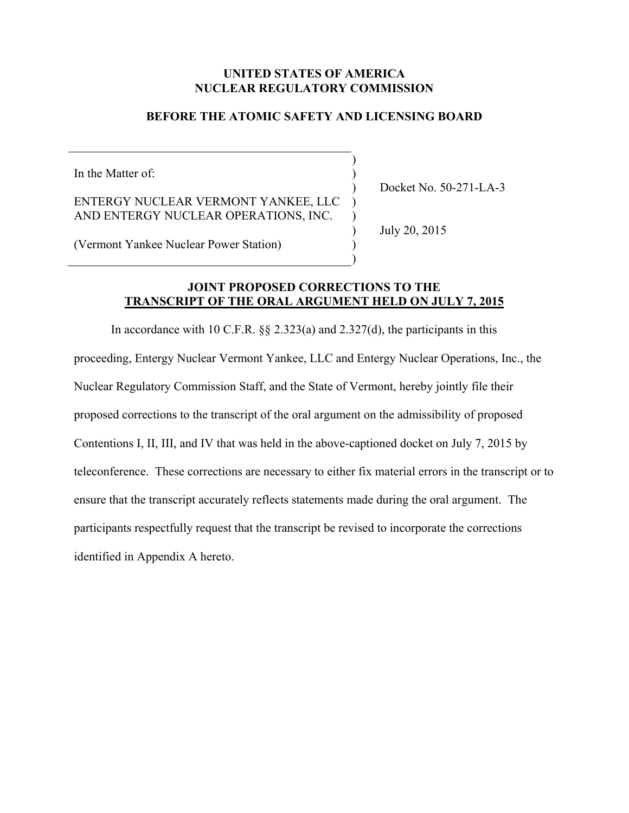# **UNITED STATES OF AMERICA NUCLEAR REGULATORY COMMISSION**

# **BEFORE THE ATOMIC SAFETY AND LICENSING BOARD**

) )  $\mathcal{L}$ ) )  $\mathcal{L}$  $\mathcal{L}$  $\mathcal{L}$ 

In the Matter of:

ENTERGY NUCLEAR VERMONT YANKEE, LLC AND ENTERGY NUCLEAR OPERATIONS, INC.

Docket No. 50-271-LA-3

July 20, 2015

(Vermont Yankee Nuclear Power Station)

#### **JOINT PROPOSED CORRECTIONS TO THE TRANSCRIPT OF THE ORAL ARGUMENT HELD ON JULY 7, 2015**

In accordance with 10 C.F.R.  $\S$   $\S$   $2.323(a)$  and  $2.327(d)$ , the participants in this proceeding, Entergy Nuclear Vermont Yankee, LLC and Entergy Nuclear Operations, Inc., the Nuclear Regulatory Commission Staff, and the State of Vermont, hereby jointly file their proposed corrections to the transcript of the oral argument on the admissibility of proposed Contentions I, II, III, and IV that was held in the above-captioned docket on July 7, 2015 by teleconference. These corrections are necessary to either fix material errors in the transcript or to ensure that the transcript accurately reflects statements made during the oral argument. The participants respectfully request that the transcript be revised to incorporate the corrections identified in Appendix A hereto.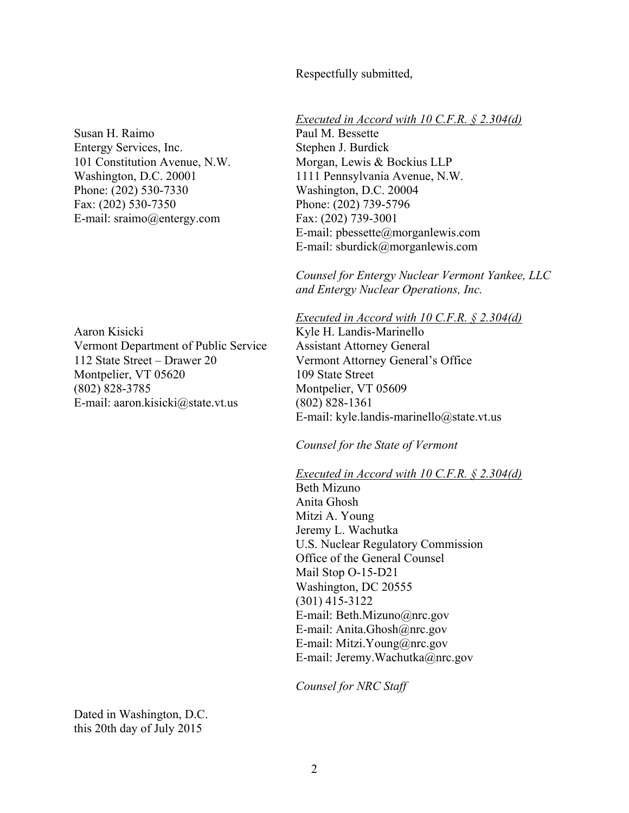Respectfully submitted,

Susan H. Raimo Entergy Services, Inc. 101 Constitution Avenue, N.W. Washington, D.C. 20001 Phone: (202) 530-7330 Fax: (202) 530-7350 E-mail: sraimo@entergy.com

Aaron Kisicki Vermont Department of Public Service 112 State Street – Drawer 20 Montpelier, VT 05620 (802) 828-3785 E-mail: aaron.kisicki@state.vt.us

*Executed in Accord with 10 C.F.R. § 2.304(d)*

Paul M. Bessette Stephen J. Burdick Morgan, Lewis & Bockius LLP 1111 Pennsylvania Avenue, N.W. Washington, D.C. 20004 Phone: (202) 739-5796 Fax: (202) 739-3001 E-mail: pbessette@morganlewis.com E-mail: sburdick@morganlewis.com

*Counsel for Entergy Nuclear Vermont Yankee, LLC and Entergy Nuclear Operations, Inc.* 

*Executed in Accord with 10 C.F.R. § 2.304(d)*

Kyle H. Landis-Marinello Assistant Attorney General Vermont Attorney General's Office 109 State Street Montpelier, VT 05609 (802) 828-1361 E-mail: kyle.landis-marinello@state.vt.us

*Counsel for the State of Vermont* 

*Executed in Accord with 10 C.F.R. § 2.304(d)*

Beth Mizuno Anita Ghosh Mitzi A. Young Jeremy L. Wachutka U.S. Nuclear Regulatory Commission Office of the General Counsel Mail Stop O-15-D21 Washington, DC 20555 (301) 415-3122 E-mail: Beth.Mizuno@nrc.gov E-mail: Anita.Ghosh@nrc.gov E-mail: Mitzi.Young@nrc.gov E-mail: Jeremy.Wachutka@nrc.gov

*Counsel for NRC Staff*

Dated in Washington, D.C. this 20th day of July 2015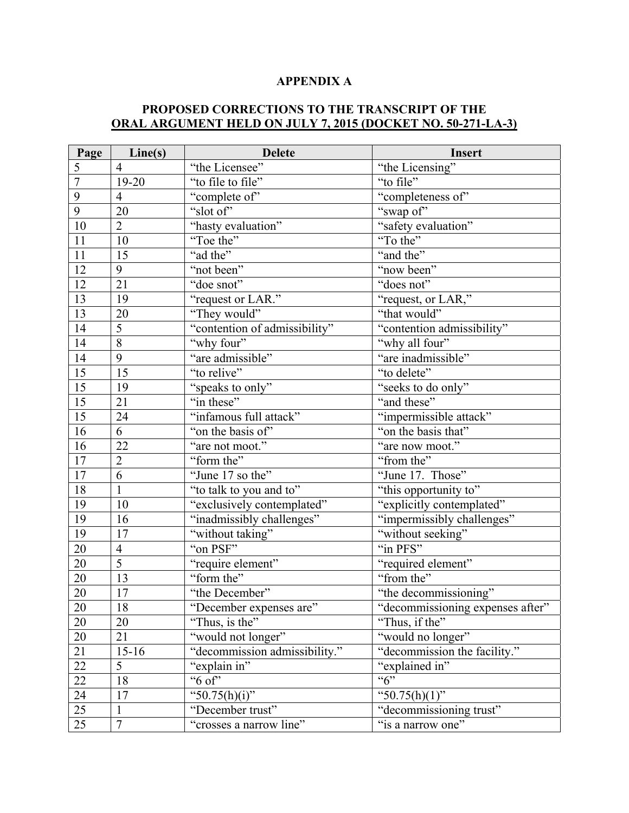# **APPENDIX A**

# **PROPOSED CORRECTIONS TO THE TRANSCRIPT OF THE ORAL ARGUMENT HELD ON JULY 7, 2015 (DOCKET NO. 50-271-LA-3)**

| Page            | Line(s)         | <b>Delete</b>                 | Insert                           |
|-----------------|-----------------|-------------------------------|----------------------------------|
| 5               | $\overline{4}$  | "the Licensee"                | "the Licensing"                  |
| $\overline{7}$  | 19-20           | "to file to file"             | "to file"                        |
| 9               | $\overline{4}$  | "complete of"                 | "completeness of"                |
| 9               | 20              | "slot of"                     | "swap of"                        |
| 10              | $\overline{2}$  | "hasty evaluation"            | "safety evaluation"              |
| 11              | 10              | "Toe the"                     | "To the"                         |
| 11              | 15              | "ad the"                      | "and the"                        |
| 12              | 9               | "not been"                    | "now been"                       |
| 12              | 21              | "doe snot"                    | "does not"                       |
| 13              | 19              | "request or LAR."             | "request, or LAR,"               |
| $\overline{13}$ | 20              | "They would"                  | "that would"                     |
| 14              | 5               | "contention of admissibility" | "contention admissibility"       |
| 14              | 8               | "why four"                    | "why all four"                   |
| 14              | 9               | "are admissible"              | "are inadmissible"               |
| 15              | 15              | "to relive"                   | "to delete"                      |
| 15              | 19              | "speaks to only"              | "seeks to do only"               |
| 15              | 21              | "in these"                    | "and these"                      |
| $\overline{15}$ | 24              | "infamous full attack"        | "impermissible attack"           |
| 16              | 6               | "on the basis of"             | "on the basis that"              |
| 16              | 22              | "are not moot."               | "are now moot."                  |
| 17              | $\overline{2}$  | "form the"                    | "from the"                       |
| 17              | 6               | "June 17 so the"              | "June 17. Those"                 |
| 18              | $\mathbf{1}$    | "to talk to you and to"       | "this opportunity to"            |
| 19              | 10              | "exclusively contemplated"    | "explicitly contemplated"        |
| 19              | 16              | "inadmissibly challenges"     | "impermissibly challenges"       |
| 19              | 17              | "without taking"              | "without seeking"                |
| $20\,$          | $\overline{4}$  | "on PSF"                      | "in PFS"                         |
| $20\,$          | $\overline{5}$  | "require element"             | "required element"               |
| $20\,$          | 13              | "form the"                    | "from the"                       |
| <b>20</b>       | $17\,$          | "the December"                | "the decommissioning"            |
| 20              | $\overline{18}$ | "December expenses are"       | "decommissioning expenses after" |
| 20              | 20              | "Thus, is the"                | "Thus, if the"                   |
| $20\,$          | 21              | "would not longer"            | "would no longer"                |
| 21              | $15 - 16$       | "decommission admissibility." | "decommission the facility."     |
| 22              | 5               | "explain in"                  | "explained in"                   |
| $22\,$          | 18              | "6 of"                        | ``6"                             |
| 24              | 17              | "50.75(h)(i)"                 | " $50.75(h)(1)$ "                |
| 25              | $\mathbf{1}$    | "December trust"              | "decommissioning trust"          |
| 25              | $\overline{7}$  | "crosses a narrow line"       | "is a narrow one"                |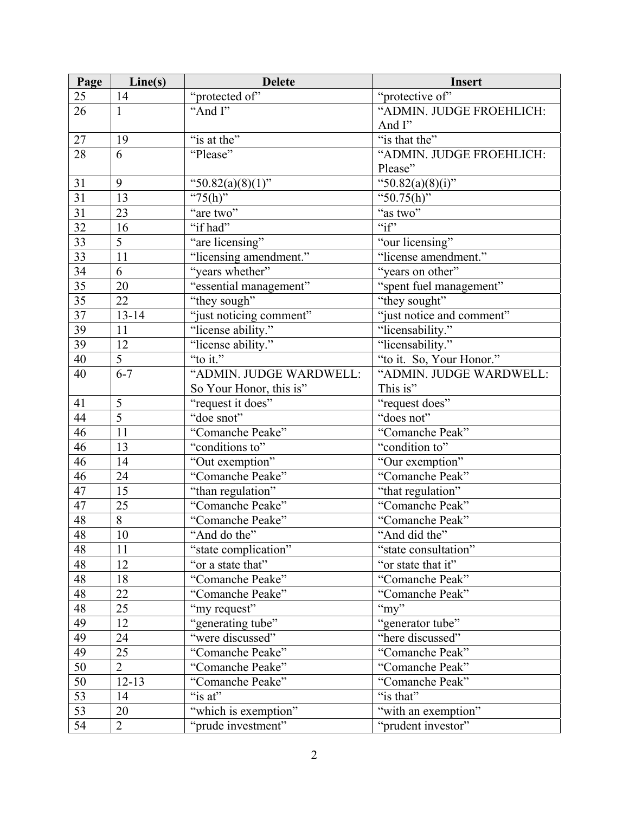| Page            | Line(s)         | <b>Delete</b>           | <b>Insert</b>                    |
|-----------------|-----------------|-------------------------|----------------------------------|
| 25              | 14              | "protected of"          | "protective of"                  |
| 26              | $\mathbf{1}$    | "And I"                 | "ADMIN. JUDGE FROEHLICH:         |
|                 |                 |                         | And I"                           |
| 27              | 19              | "is at the"             | "is that the"                    |
| 28              | 6               | "Please"                | "ADMIN. JUDGE FROEHLICH:         |
|                 |                 |                         | Please"                          |
| 31              | 9               | " $50.82(a)(8)(1)$ "    | "50.82(a)(8)(i)"                 |
| 31              | 13              | " $75(h)$ "             | "50.75(h)"                       |
| 31              | 23              | "are two"               | $\overline{\mathscr{C}}$ as two" |
| 32              | 16              | "if had"                | $\sqrt{\text{if}}$               |
| 33              | $\overline{5}$  | "are licensing"         | "our licensing"                  |
| $\overline{33}$ | $\overline{11}$ | "licensing amendment."  | "license amendment."             |
| 34              | 6               | "years whether"         | "years on other"                 |
| 35              | 20              | "essential management"  | "spent fuel management"          |
| $\overline{35}$ | 22              | "they sough"            | "they sought"                    |
| $\overline{37}$ | $13 - 14$       | "just noticing comment" | "just notice and comment"        |
| 39              | 11              | "license ability."      | "licensability."                 |
| 39              | 12              | "license ability."      | "licensability."                 |
| 40              | 5               | "to it."                | "to it. So, Your Honor."         |
| 40              | $6 - 7$         | "ADMIN. JUDGE WARDWELL: | "ADMIN. JUDGE WARDWELL:          |
|                 |                 | So Your Honor, this is" | This is"                         |
| 41              | 5               | "request it does"       | "request does"                   |
| 44              | $\overline{5}$  | "doe snot"              | "does not"                       |
| 46              | 11              | "Comanche Peake"        | "Comanche Peak"                  |
| 46              | 13              | "conditions to"         | "condition to"                   |
| 46              | 14              | "Out exemption"         | "Our exemption"                  |
| 46              | 24              | "Comanche Peake"        | "Comanche Peak"                  |
| $\overline{47}$ | 15              | "than regulation"       | "that regulation"                |
| 47              | 25              | "Comanche Peake"        | "Comanche Peak"                  |
| 48              | 8               | "Comanche Peake"        | "Comanche Peak"                  |
| 48              | $10\,$          | "And do the"            | "And did the"                    |
| 48              | 11              | "state complication"    | "state consultation"             |
| 48              | 12              | "or a state that"       | "or state that it"               |
| 48              | 18              | "Comanche Peake"        | "Comanche Peak"                  |
| 48              | 22              | "Comanche Peake"        | "Comanche Peak"                  |
| 48              | 25              | "my request"            | " $my$ "                         |
| 49              | 12              | "generating tube"       | "generator tube"                 |
| 49              | 24              | "were discussed"        | "here discussed"                 |
| 49              | 25              | "Comanche Peake"        | "Comanche Peak"                  |
| 50              | $\overline{2}$  | "Comanche Peake"        | "Comanche Peak"                  |
| 50              | $12 - 13$       | "Comanche Peake"        | "Comanche Peak"                  |
| 53              | 14              | "is at"                 | "is that"                        |
| 53              | 20              | "which is exemption"    | "with an exemption"              |
| 54              | $\overline{2}$  | "prude investment"      | "prudent investor"               |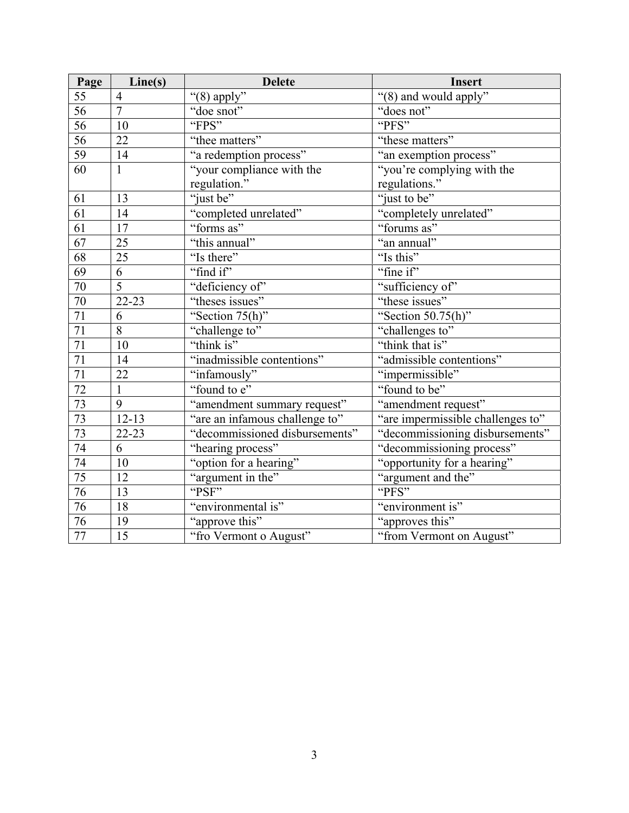| Page            | Line(s)        | <b>Delete</b>                  | <b>Insert</b>                     |
|-----------------|----------------|--------------------------------|-----------------------------------|
| 55              | $\overline{4}$ | "(8) apply"                    | "(8) and would apply"             |
| $\overline{56}$ | $\overline{7}$ | "doe snot"                     | "does not"                        |
| $\overline{56}$ | 10             | "FPS"                          | "PFS"                             |
| 56              | 22             | "thee matters"                 | "these matters"                   |
| 59              | 14             | "a redemption process"         | "an exemption process"            |
| 60              | $\mathbf{1}$   | "your compliance with the      | "you're complying with the        |
|                 |                | regulation."                   | regulations."                     |
| 61              | 13             | "just be"                      | "just to be"                      |
| 61              | 14             | "completed unrelated"          | "completely unrelated"            |
| $\overline{61}$ | 17             | "forms as"                     | "forums as"                       |
| 67              | 25             | "this annual"                  | "an annual"                       |
| 68              | 25             | "Is there"                     | "Is this"                         |
| 69              | $\overline{6}$ | "find if"                      | "fine if"                         |
| $70\,$          | $\overline{5}$ | "deficiency of"                | "sufficiency of"                  |
| 70              | 22-23          | "theses issues"                | "these issues"                    |
| $\overline{71}$ | 6              | "Section 75(h)"                | "Section $50.75(h)$ "             |
| 71              | $\overline{8}$ | "challenge to"                 | "challenges to"                   |
| 71              | 10             | "think is"                     | "think that is"                   |
| 71              | 14             | "inadmissible contentions"     | "admissible contentions"          |
| $\overline{71}$ | 22             | "infamously"                   | "impermissible"                   |
| 72              | $\mathbf{1}$   | "found to e"                   | "found to be"                     |
| 73              | 9              | "amendment summary request"    | "amendment request"               |
| $\overline{73}$ | $12 - 13$      | "are an infamous challenge to" | "are impermissible challenges to" |
| 73              | 22-23          | "decommissioned disbursements" | "decommissioning disbursements"   |
| 74              | 6              | "hearing process"              | "decommissioning process"         |
| 74              | 10             | "option for a hearing"         | "opportunity for a hearing"       |
| $\overline{75}$ | 12             | "argument in the"              | "argument and the"                |
| 76              | 13             | "PSF"                          | "PFS"                             |
| 76              | 18             | "environmental is"             | "environment is"                  |
| 76              | 19             | "approve this"                 | "approves this"                   |
| $\overline{77}$ | 15             | "fro Vermont o August"         | "from Vermont on August"          |